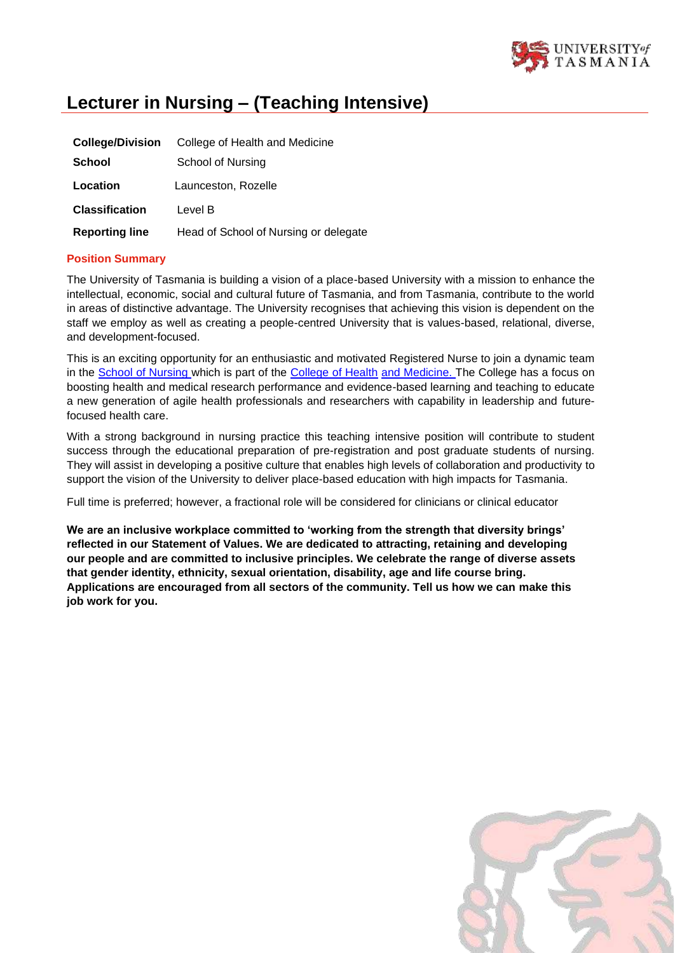

# **Lecturer in Nursing – (Teaching Intensive)**

| <b>College/Division</b> | College of Health and Medicine        |
|-------------------------|---------------------------------------|
| <b>School</b>           | School of Nursing                     |
| Location                | Launceston, Rozelle                   |
| <b>Classification</b>   | Level B                               |
| <b>Reporting line</b>   | Head of School of Nursing or delegate |

## **Position Summary**

The University of Tasmania is building a vision of a place-based University with a mission to enhance the intellectual, economic, social and cultural future of Tasmania, and from Tasmania, contribute to the world in areas of distinctive advantage. The University recognises that achieving this vision is dependent on the staff we employ as well as creating a people-centred University that is values-based, relational, diverse, and development-focused.

This is an exciting opportunity for an enthusiastic and motivated Registered Nurse to join a dynamic team in the [School of Nursing w](https://www.utas.edu.au/courses/study/nursing)hich is part of the [College of Health](https://www.utas.edu.au/health) [and Medicine.](https://www.utas.edu.au/health) The College has a focus on boosting health and medical research performance and evidence-based learning and teaching to educate a new generation of agile health professionals and researchers with capability in leadership and futurefocused health care.

With a strong background in nursing practice this teaching intensive position will contribute to student success through the educational preparation of pre-registration and post graduate students of nursing. They will assist in developing a positive culture that enables high levels of collaboration and productivity to support the vision of the University to deliver place-based education with high impacts for Tasmania.

Full time is preferred; however, a fractional role will be considered for clinicians or clinical educator

**We are an inclusive workplace committed to 'working from the strength that diversity brings' reflected in our Statement of Values. We are dedicated to attracting, retaining and developing our people and are committed to inclusive principles. We celebrate the range of diverse assets that gender identity, ethnicity, sexual orientation, disability, age and life course bring. Applications are encouraged from all sectors of the community. Tell us how we can make this job work for you.**